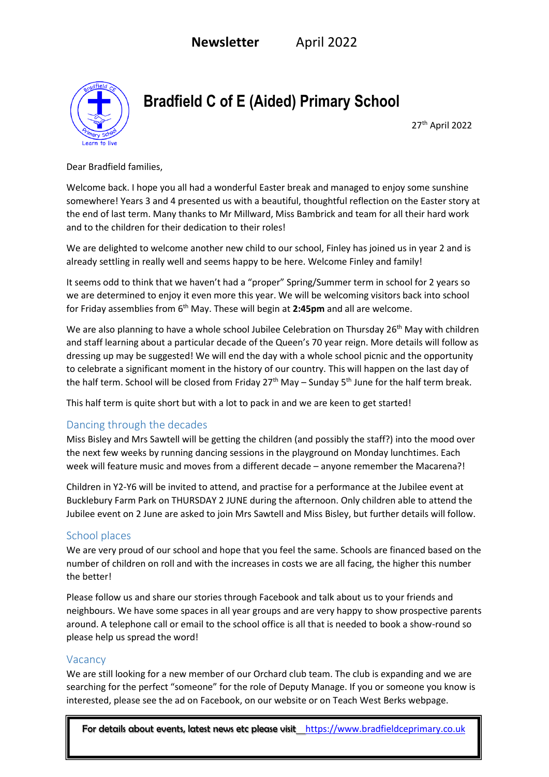

**Bradfield C of E (Aided) Primary School** 

 27  $27<sup>th</sup>$  April 2022

Dear Bradfield families,

Welcome back. I hope you all had a wonderful Easter break and managed to enjoy some sunshine somewhere! Years 3 and 4 presented us with a beautiful, thoughtful reflection on the Easter story at the end of last term. Many thanks to Mr Millward, Miss Bambrick and team for all their hard work and to the children for their dedication to their roles!

We are delighted to welcome another new child to our school, Finley has joined us in year 2 and is already settling in really well and seems happy to be here. Welcome Finley and family!

It seems odd to think that we haven't had a "proper" Spring/Summer term in school for 2 years so we are determined to enjoy it even more this year. We will be welcoming visitors back into school for Friday assemblies from 6th May. These will begin at **2:45pm** and all are welcome.

We are also planning to have a whole school Jubilee Celebration on Thursday 26<sup>th</sup> May with children and staff learning about a particular decade of the Queen's 70 year reign. More details will follow as dressing up may be suggested! We will end the day with a whole school picnic and the opportunity to celebrate a significant moment in the history of our country. This will happen on the last day of the half term. School will be closed from Friday  $27<sup>th</sup>$  May – Sunday 5<sup>th</sup> June for the half term break.

This half term is quite short but with a lot to pack in and we are keen to get started!

#### Dancing through the decades

Miss Bisley and Mrs Sawtell will be getting the children (and possibly the staff?) into the mood over the next few weeks by running dancing sessions in the playground on Monday lunchtimes. Each week will feature music and moves from a different decade – anyone remember the Macarena?!

Children in Y2-Y6 will be invited to attend, and practise for a performance at the Jubilee event at Bucklebury Farm Park on THURSDAY 2 JUNE during the afternoon. Only children able to attend the Jubilee event on 2 June are asked to join Mrs Sawtell and Miss Bisley, but further details will follow.

#### School places

We are very proud of our school and hope that you feel the same. Schools are financed based on the number of children on roll and with the increases in costs we are all facing, the higher this number the better!

Please follow us and share our stories through Facebook and talk about us to your friends and neighbours. We have some spaces in all year groups and are very happy to show prospective parents around. A telephone call or email to the school office is all that is needed to book a show-round so please help us spread the word!

#### Vacancy

We are still looking for a new member of our Orchard club team. The club is expanding and we are searching for the perfect "someone" for the role of Deputy Manage. If you or someone you know is interested, please see the ad on Facebook, on our website or on Teach West Berks webpage.

For details about events, latest news etc please visithttps://www.bradfieldceprimary.co.uk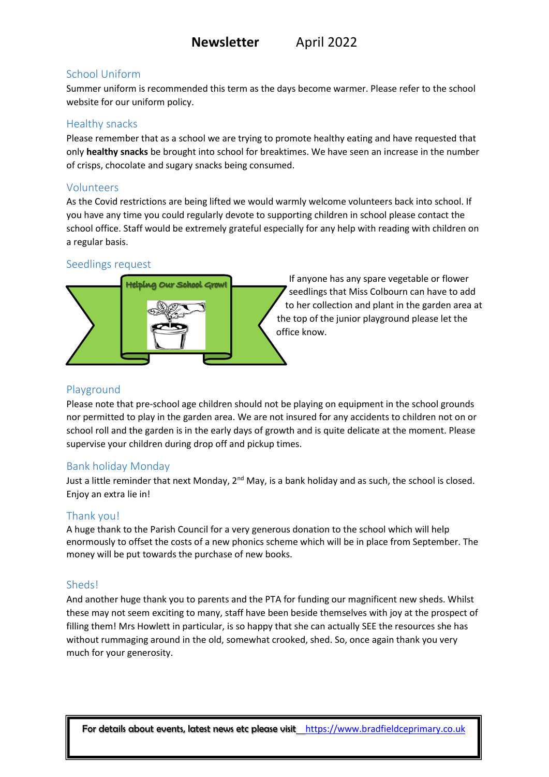# School Uniform

Summer uniform is recommended this term as the days become warmer. Please refer to the school website for our uniform policy.

### Healthy snacks

Please remember that as a school we are trying to promote healthy eating and have requested that only **healthy snacks** be brought into school for breaktimes. We have seen an increase in the number of crisps, chocolate and sugary snacks being consumed.

# Volunteers

As the Covid restrictions are being lifted we would warmly welcome volunteers back into school. If you have any time you could regularly devote to supporting children in school please contact the school office. Staff would be extremely grateful especially for any help with reading with children on a regular basis.

# Seedlings request



If anyone has any spare vegetable or flower seedlings that Miss Colbourn can have to add to her collection and plant in the garden area at the top of the junior playground please let the office know.

# Playground

Please note that pre-school age children should not be playing on equipment in the school grounds nor permitted to play in the garden area. We are not insured for any accidents to children not on or school roll and the garden is in the early days of growth and is quite delicate at the moment. Please supervise your children during drop off and pickup times.

# Bank holiday Monday

Just a little reminder that next Monday, 2<sup>nd</sup> May, is a bank holiday and as such, the school is closed. Enjoy an extra lie in!

# Thank you!

A huge thank to the Parish Council for a very generous donation to the school which will help enormously to offset the costs of a new phonics scheme which will be in place from September. The money will be put towards the purchase of new books.

# Sheds!

And another huge thank you to parents and the PTA for funding our magnificent new sheds. Whilst these may not seem exciting to many, staff have been beside themselves with joy at the prospect of filling them! Mrs Howlett in particular, is so happy that she can actually SEE the resources she has without rummaging around in the old, somewhat crooked, shed. So, once again thank you very much for your generosity.

For details about events, latest news etc please visithttps://www.bradfieldceprimary.co.uk